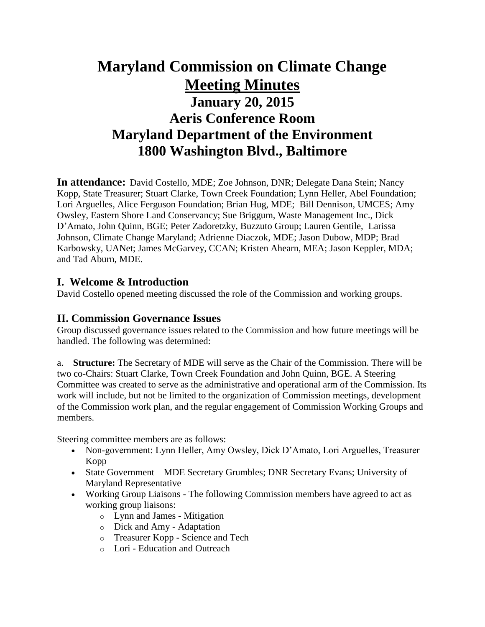# **Maryland Commission on Climate Change Meeting Minutes January 20, 2015 Aeris Conference Room Maryland Department of the Environment 1800 Washington Blvd., Baltimore**

**In attendance:** David Costello, MDE; Zoe Johnson, DNR; Delegate Dana Stein; Nancy Kopp, State Treasurer; Stuart Clarke, Town Creek Foundation; Lynn Heller, Abel Foundation; Lori Arguelles, Alice Ferguson Foundation; Brian Hug, MDE; Bill Dennison, UMCES; Amy Owsley, Eastern Shore Land Conservancy; Sue Briggum, Waste Management Inc., Dick D'Amato, John Quinn, BGE; Peter Zadoretzky, Buzzuto Group; Lauren Gentile, Larissa Johnson, Climate Change Maryland; Adrienne Diaczok, MDE; Jason Dubow, MDP; Brad Karbowsky, UANet; James McGarvey, CCAN; Kristen Ahearn, MEA; Jason Keppler, MDA; and Tad Aburn, MDE.

#### **I. Welcome & Introduction**

David Costello opened meeting discussed the role of the Commission and working groups.

#### **II. Commission Governance Issues**

Group discussed governance issues related to the Commission and how future meetings will be handled. The following was determined:

a. **Structure:** The Secretary of MDE will serve as the Chair of the Commission. There will be two co-Chairs: Stuart Clarke, Town Creek Foundation and John Quinn, BGE. A Steering Committee was created to serve as the administrative and operational arm of the Commission. Its work will include, but not be limited to the organization of Commission meetings, development of the Commission work plan, and the regular engagement of Commission Working Groups and members.

Steering committee members are as follows:

- Non-government: Lynn Heller, Amy Owsley, Dick D'Amato, Lori Arguelles, Treasurer Kopp
- State Government MDE Secretary Grumbles; DNR Secretary Evans; University of Maryland Representative
- Working Group Liaisons The following Commission members have agreed to act as working group liaisons:
	- o Lynn and James Mitigation
	- o Dick and Amy Adaptation
	- o Treasurer Kopp Science and Tech
	- o Lori Education and Outreach